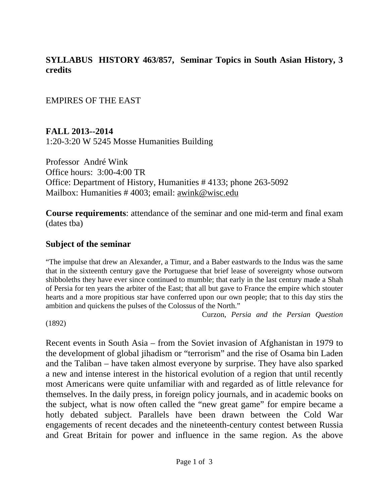#### **SYLLABUS HISTORY 463/857, Seminar Topics in South Asian History, 3 credits**

EMPIRES OF THE EAST

**FALL 2013--2014** 1:20-3:20 W 5245 Mosse Humanities Building

Professor André Wink Office hours: 3:00-4:00 TR Office: Department of History, Humanities # 4133; phone 263-5092 Mailbox: Humanities # 4003; email: awink@wisc.edu

**Course requirements**: attendance of the seminar and one mid-term and final exam (dates tba)

#### **Subject of the seminar**

"The impulse that drew an Alexander, a Timur, and a Baber eastwards to the Indus was the same that in the sixteenth century gave the Portuguese that brief lease of sovereignty whose outworn shibboleths they have ever since continued to mumble; that early in the last century made a Shah of Persia for ten years the arbiter of the East; that all but gave to France the empire which stouter hearts and a more propitious star have conferred upon our own people; that to this day stirs the ambition and quickens the pulses of the Colossus of the North."

Curzon, *Persia and the Persian Question* 

(1892)

Recent events in South Asia – from the Soviet invasion of Afghanistan in 1979 to the development of global jihadism or "terrorism" and the rise of Osama bin Laden and the Taliban – have taken almost everyone by surprise. They have also sparked a new and intense interest in the historical evolution of a region that until recently most Americans were quite unfamiliar with and regarded as of little relevance for themselves. In the daily press, in foreign policy journals, and in academic books on the subject, what is now often called the "new great game" for empire became a hotly debated subject. Parallels have been drawn between the Cold War engagements of recent decades and the nineteenth-century contest between Russia and Great Britain for power and influence in the same region. As the above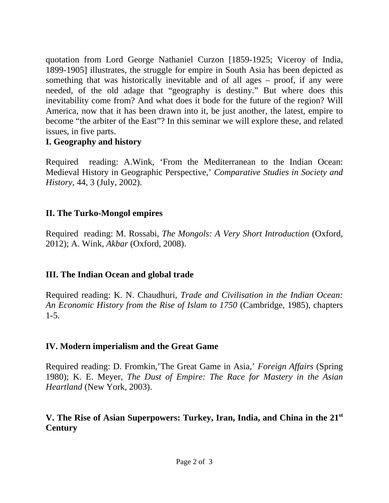quotation from Lord George Nathaniel Curzon [1859-1925; Viceroy of India, 1899-1905] illustrates, the struggle for empire in South Asia has been depicted as something that was historically inevitable and of all ages – proof, if any were needed, of the old adage that "geography is destiny." But where does this inevitability come from? And what does it bode for the future of the region? Will America, now that it has been drawn into it, be just another, the latest, empire to become "the arbiter of the East"? In this seminar we will explore these, and related issues, in five parts.

## **I. Geography and history**

Required reading: A.Wink, 'From the Mediterranean to the Indian Ocean: Medieval History in Geographic Perspective,' *Comparative Studies in Society and History,* 44, 3 (July, 2002).

## **II. The Turko-Mongol empires**

Required reading: M. Rossabi, *The Mongols: A Very Short Introduction* (Oxford, 2012); A. Wink, *Akbar* (Oxford, 2008).

# **III. The Indian Ocean and global trade**

Required reading: K. N. Chaudhuri, *Trade and Civilisation in the Indian Ocean: An Economic History from the Rise of Islam to 1750* (Cambridge, 1985), chapters  $1 - 5$ .

# **IV. Modern imperialism and the Great Game**

Required reading: D. Fromkin,'The Great Game in Asia,' *Foreign Affairs* (Spring 1980); K. E. Meyer, *The Dust of Empire: The Race for Mastery in the Asian Heartland* (New York, 2003).

# **V. The Rise of Asian Superpowers: Turkey, Iran, India, and China in the 21st Century**